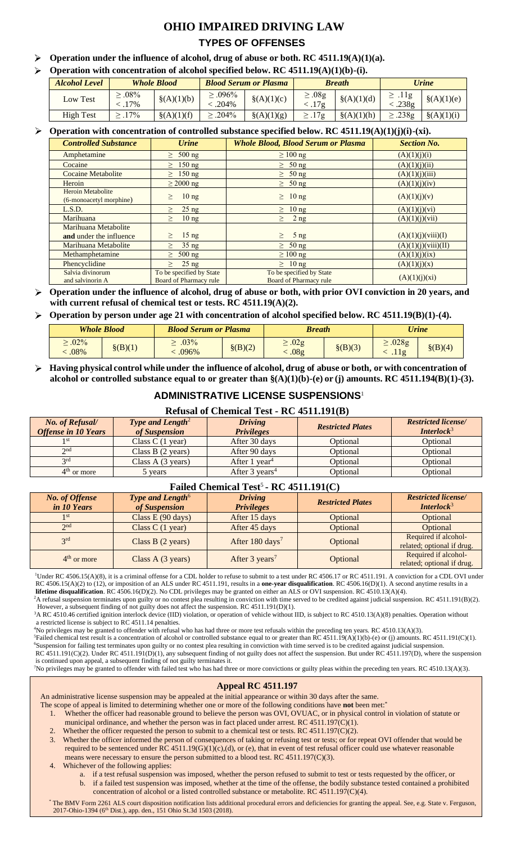# **OHIO IMPAIRED DRIVING LAW**

## **TYPES OF OFFENSES**

- **Operation under the influence of alcohol, drug of abuse or both. RC 4511.19(A)(1)(a).**
- $\triangleright$  Operation with concentration of alcohol specified below. RC 4511.19(A)(1)(b)-(i).

| <b>Alcohol Level</b> | <b>Whole Blood</b>       |               |                        | <b>Blood Serum or Plasma</b> |                      | <b>Breath</b> | Urine                 |               |  |
|----------------------|--------------------------|---------------|------------------------|------------------------------|----------------------|---------------|-----------------------|---------------|--|
| Low Test             | $> 0.08\%$<br>$< 0.17\%$ | $\S(A)(1)(b)$ | $\geq .096\%$<br>.204% | $\S(A)(1)(c)$                | $\geq .08g$<br><.17g | $\S(A)(1)(d)$ | $\geq .11g$<br><.238g | $\S(A)(1)(e)$ |  |
| <b>High Test</b>     | $.17\%$                  | $\S(A)(1)(f)$ | $> .204\%$             | $\S(A)(1)(g)$                | $\geq .17$ g         | $\{(A)(1)(h)$ | $\geq$ .238g          | $\S(A)(1)(i)$ |  |

## **Operation with concentration of controlled substance specified below. RC 4511.19(A)(1)(j)(i)-(xi).**

| <b>Controlled Substance</b>                     | <b>Urine</b>                                       | <b>Whole Blood, Blood Serum or Plasma</b>          | <b>Section No.</b>  |  |  |  |  |  |  |
|-------------------------------------------------|----------------------------------------------------|----------------------------------------------------|---------------------|--|--|--|--|--|--|
| Amphetamine                                     | $\geq 500$ ng                                      | $\geq 100$ ng                                      | (A)(1)(j)(i)        |  |  |  |  |  |  |
| Cocaine                                         | $\geq 150$ ng                                      | $\geq 50$ ng                                       | (A)(1)(j)(ii)       |  |  |  |  |  |  |
| <b>Cocaine Metabolite</b>                       | $\geq 150$ ng                                      | $\geq 50$ ng                                       | (A)(1)(j)(iii)      |  |  |  |  |  |  |
| Heroin                                          | $\geq 2000 \text{ ng}$                             | $\geq 50$ ng                                       | (A)(1)(j)(iv)       |  |  |  |  |  |  |
| Heroin Metabolite<br>(6-monoacetyl morphine)    | 10 <sub>ng</sub><br>$\geq$                         | $\geq 10$ ng                                       | (A)(1)(j)(v)        |  |  |  |  |  |  |
| L.S.D.                                          | $25$ ng                                            | $\geq 10$ ng                                       | (A)(1)(j)(vi)       |  |  |  |  |  |  |
| Marihuana                                       | 10 <sub>ng</sub><br>$\geq$                         | 2 ng<br>$\geq$                                     | (A)(1)(j)(vii)      |  |  |  |  |  |  |
| Marihuana Metabolite<br>and under the influence | 15 <sub>ng</sub><br>$\geq$                         | $5$ ng<br>$\geq$                                   | (A)(1)(j)(viii)(I)  |  |  |  |  |  |  |
| Marihuana Metabolite                            | $35$ ng<br>$\geq$                                  | $\geq 50$ ng                                       | (A)(1)(j)(viii)(II) |  |  |  |  |  |  |
| Methamphetamine                                 | $\geq 500$ ng                                      | $\geq 100$ ng                                      | (A)(1)(i)(ix)       |  |  |  |  |  |  |
| Phencyclidine                                   | $25$ ng                                            | $\geq 10$ ng                                       | (A)(1)(j)(x)        |  |  |  |  |  |  |
| Salvia divinorum<br>and salvinorin A            | To be specified by State<br>Board of Pharmacy rule | To be specified by State<br>Board of Pharmacy rule | (A)(1)(j)(xi)       |  |  |  |  |  |  |

**Operation under the influence of alcohol, drug of abuse or both, with prior OVI conviction in 20 years, and with current refusal of chemical test or tests. RC 4511.19(A)(2).**

**Operation by person under age 21 with concentration of alcohol specified below. RC 4511.19(B)(1)-(4).** 

| <b>Whole Blood</b>   |             | <b>Blood Serum or Plasma</b> |             | <b>Breath</b>                   |             | <b>Urine</b>  |             |  |
|----------------------|-------------|------------------------------|-------------|---------------------------------|-------------|---------------|-------------|--|
| $\geq .02\%$<br>.08% | $\S$ (B)(1) | $.03\%$<br>.096%             | $\S$ (B)(2) | $\pm .02$ g<br>.08 <sub>g</sub> | $\S$ (B)(3) | .028g<br>.11g | $\S$ (B)(4) |  |

**Having physical control while under the influence of alcohol, drug of abuse or both, or with concentration of alcohol or controlled substance equal to or greater than §(A)(1)(b)-(e) or (j) amounts. RC 4511.194(B)(1)-(3).**

## **ADMINISTRATIVE LICENSE SUSPENSIONS**<sup>1</sup>

#### **Refusal of Chemical Test - RC 4511.191(B)**

| No. of Refusal/<br><b>Offense in 10 Years</b> | <b>Type and Length<sup>2</sup></b><br>of Suspension | <b>Driving</b><br><b>Privileges</b> | <b>Restricted Plates</b> | <b>Restricted license</b><br><b>Interlock</b> <sup>3</sup> |
|-----------------------------------------------|-----------------------------------------------------|-------------------------------------|--------------------------|------------------------------------------------------------|
|                                               | Class $C(1$ year)                                   | After 30 days                       | Optional                 | Optional                                                   |
| 2 <sub>nd</sub>                               | Class B $(2 \text{ years})$                         | After 90 days                       | Optional                 | Optional                                                   |
| 2rd                                           | Class $A(3 \text{ years})$                          | After 1 $vear4$                     | Optional                 | Optional                                                   |
| $4th$ or more                                 | 5 years                                             | After $3 \text{ years}^4$           | Optional                 | Optional                                                   |

## **Failed Chemical Test**<sup>5</sup> **- RC 4511.191(C)**

| <b>No. of Offense</b><br><i>in 10 Years</i> | Type and Length <sup>6</sup><br>of Suspension | <b>Driving</b><br><b>Privileges</b> | <b>Restricted Plates</b> | <b>Restricted license/</b><br><b>Interlock</b> $3$ |  |  |  |  |  |  |
|---------------------------------------------|-----------------------------------------------|-------------------------------------|--------------------------|----------------------------------------------------|--|--|--|--|--|--|
| 1 st                                        | Class $E(90 \text{ days})$                    | After 15 days                       | Optional                 | Optional                                           |  |  |  |  |  |  |
| 2 <sub>nd</sub>                             | Class $C(1$ year)                             | After 45 days                       | Optional                 | Optional                                           |  |  |  |  |  |  |
| 2rd                                         | Class $B(2 \text{ years})$                    | After 180 days <sup>7</sup>         | Optional                 | Required if alcohol-<br>related; optional if drug. |  |  |  |  |  |  |
| $4th$ or more                               | Class A $(3 \text{ years})$                   | After 3 years <sup>7</sup>          | Optional                 | Required if alcohol-<br>related; optional if drug. |  |  |  |  |  |  |

<sup>1</sup>Under RC 4506.15(A)(8), it is a criminal offense for a CDL holder to refuse to submit to a test under RC 4506.17 or RC 4511.191. A conviction for a CDL OVI under RC 4506.15(A)(2) to (12), or imposition of an ALS under RC 4511.191, results in a **one-year disqualification**. RC 4506.16(D)(1). A second anytime results in a **lifetime disqualification**. RC 4506.16(D)(2). No CDL privileges may be granted on either an ALS or OVI suspension. RC 4510.13(A)(4).

 ${}^{2}$ A refusal suspension terminates upon guilty or no contest plea resulting in conviction with time served to be credited against judicial suspension. RC 4511.191(B)(2). However, a subsequent finding of not guilty does not affect the suspension. RC 4511.191(D)(1).

<sup>3</sup>A RC 4510.46 certified ignition interlock device (IID) violation, or operation of vehicle without IID, is subject to RC 4510.13(A)(8) penalties. Operation without a restricted license is subject to RC 4511.14 penalties.

<sup>4</sup>No privileges may be granted to offender with refusal who has had three or more test refusals within the preceding ten years. RC 4510.13(A)(3). <sup>5</sup>Failed chemical test result is a concentration of alcohol or controlled substance equal to or greater than RC 4511.19(A)(1)(b)-(e) or (j) amounts. RC 4511.191(C)(1). <sup>6</sup>Suspension for failing test terminates upon guilty or no contest plea resulting in conviction with time served is to be credited against judicial suspension.

RC 4511.191(C)(2). Under RC 4511.191(D)(1), any subsequent finding of not guilty does not affect the suspension. But under RC 4511.197(D), where the suspension is continued upon appeal, a subsequent finding of not guilty terminates it.

<sup>7</sup>No privileges may be granted to offender with failed test who has had three or more convictions or guilty pleas within the preceding ten years. RC 4510.13(A)(3).

## **Appeal RC 4511.197**

An administrative license suspension may be appealed at the initial appearance or within 30 days after the same.

The scope of appeal is limited to determining whether one or more of the following conditions have **not** been met:\*

- 1. Whether the officer had reasonable ground to believe the person was OVI, OVUAC, or in physical control in violation of statute or municipal ordinance, and whether the person was in fact placed under arrest. RC 4511.197(C)(1).
- 2. Whether the officer requested the person to submit to a chemical test or tests. RC 4511.197(C)(2).

3. Whether the officer informed the person of consequences of taking or refusing test or tests; or for repeat OVI offender that would be

- required to be sentenced under RC 4511.19(G)(1)(c),(d), or (e), that in event of test refusal officer could use whatever reasonable means were necessary to ensure the person submitted to a blood test. RC 4511.197(C)(3).
- 4. Whichever of the following applies:
	- a. if a test refusal suspension was imposed, whether the person refused to submit to test or tests requested by the officer, or b. if a failed test suspension was imposed, whether at the time of the offense, the bodily substance tested contained a prohibited concentration of alcohol or a listed controlled substance or metabolite. RC 4511.197(C)(4).
- \* The BMV Form 2261 ALS court disposition notification lists additional procedural errors and deficiencies for granting the appeal. See, e.g. State v. Ferguson, 2017-Ohio-1394 (6<sup>th</sup> Dist.), app. den., 151 Ohio St.3d 1503 (2018).